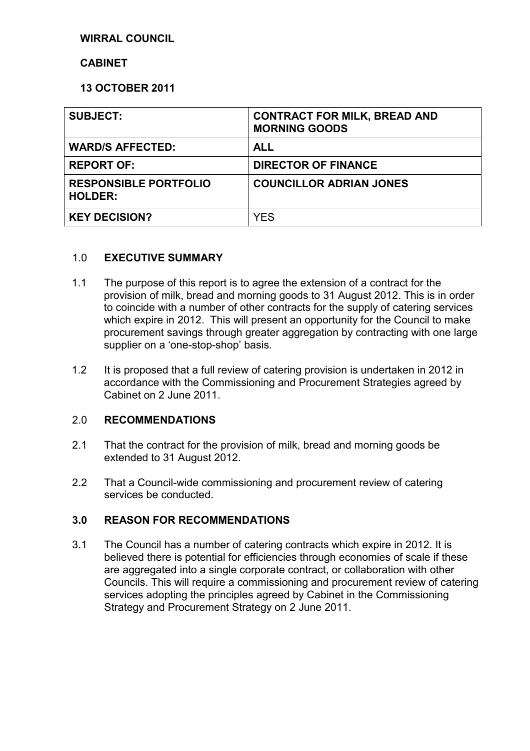## **WIRRAL COUNCIL**

#### **CABINET**

### **13 OCTOBER 2011**

| <b>SUBJECT:</b>                                | <b>CONTRACT FOR MILK, BREAD AND</b><br><b>MORNING GOODS</b> |
|------------------------------------------------|-------------------------------------------------------------|
| <b>WARD/S AFFECTED:</b>                        | <b>ALL</b>                                                  |
| <b>REPORT OF:</b>                              | <b>DIRECTOR OF FINANCE</b>                                  |
| <b>RESPONSIBLE PORTFOLIO</b><br><b>HOLDER:</b> | <b>COUNCILLOR ADRIAN JONES</b>                              |
| <b>KEY DECISION?</b>                           | <b>YES</b>                                                  |

#### 1.0 **EXECUTIVE SUMMARY**

- 1.1 The purpose of this report is to agree the extension of a contract for the provision of milk, bread and morning goods to 31 August 2012. This is in order to coincide with a number of other contracts for the supply of catering services which expire in 2012. This will present an opportunity for the Council to make procurement savings through greater aggregation by contracting with one large supplier on a 'one-stop-shop' basis.
- 1.2 It is proposed that a full review of catering provision is undertaken in 2012 in accordance with the Commissioning and Procurement Strategies agreed by Cabinet on 2 June 2011.

#### 2.0 **RECOMMENDATIONS**

- 2.1 That the contract for the provision of milk, bread and morning goods be extended to 31 August 2012.
- 2.2 That a Council-wide commissioning and procurement review of catering services be conducted.

## **3.0 REASON FOR RECOMMENDATIONS**

3.1 The Council has a number of catering contracts which expire in 2012. It is believed there is potential for efficiencies through economies of scale if these are aggregated into a single corporate contract, or collaboration with other Councils. This will require a commissioning and procurement review of catering services adopting the principles agreed by Cabinet in the Commissioning Strategy and Procurement Strategy on 2 June 2011.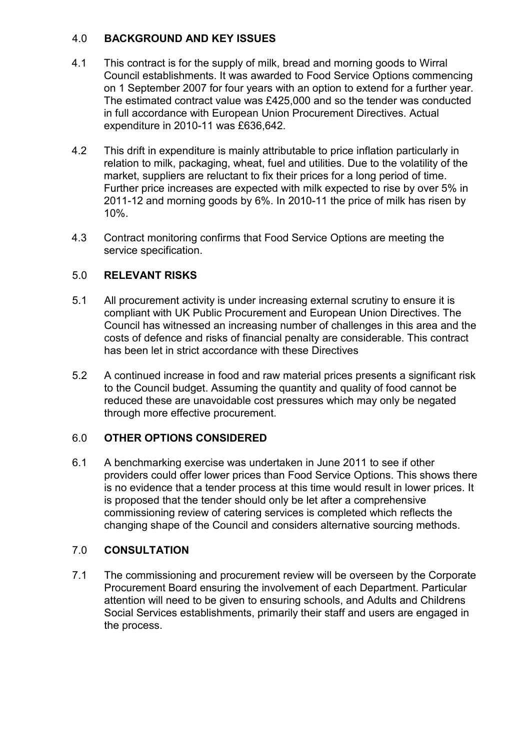## 4.0 **BACKGROUND AND KEY ISSUES**

- 4.1 This contract is for the supply of milk, bread and morning goods to Wirral Council establishments. It was awarded to Food Service Options commencing on 1 September 2007 for four years with an option to extend for a further year. The estimated contract value was £425,000 and so the tender was conducted in full accordance with European Union Procurement Directives. Actual expenditure in 2010-11 was £636,642.
- 4.2 This drift in expenditure is mainly attributable to price inflation particularly in relation to milk, packaging, wheat, fuel and utilities. Due to the volatility of the market, suppliers are reluctant to fix their prices for a long period of time. Further price increases are expected with milk expected to rise by over 5% in 2011-12 and morning goods by 6%. In 2010-11 the price of milk has risen by 10%.
- 4.3 Contract monitoring confirms that Food Service Options are meeting the service specification.

## 5.0 **RELEVANT RISKS**

- 5.1 All procurement activity is under increasing external scrutiny to ensure it is compliant with UK Public Procurement and European Union Directives. The Council has witnessed an increasing number of challenges in this area and the costs of defence and risks of financial penalty are considerable. This contract has been let in strict accordance with these Directives
- 5.2 A continued increase in food and raw material prices presents a significant risk to the Council budget. Assuming the quantity and quality of food cannot be reduced these are unavoidable cost pressures which may only be negated through more effective procurement.

## 6.0 **OTHER OPTIONS CONSIDERED**

6.1 A benchmarking exercise was undertaken in June 2011 to see if other providers could offer lower prices than Food Service Options. This shows there is no evidence that a tender process at this time would result in lower prices. It is proposed that the tender should only be let after a comprehensive commissioning review of catering services is completed which reflects the changing shape of the Council and considers alternative sourcing methods.

## 7.0 **CONSULTATION**

7.1 The commissioning and procurement review will be overseen by the Corporate Procurement Board ensuring the involvement of each Department. Particular attention will need to be given to ensuring schools, and Adults and Childrens Social Services establishments, primarily their staff and users are engaged in the process.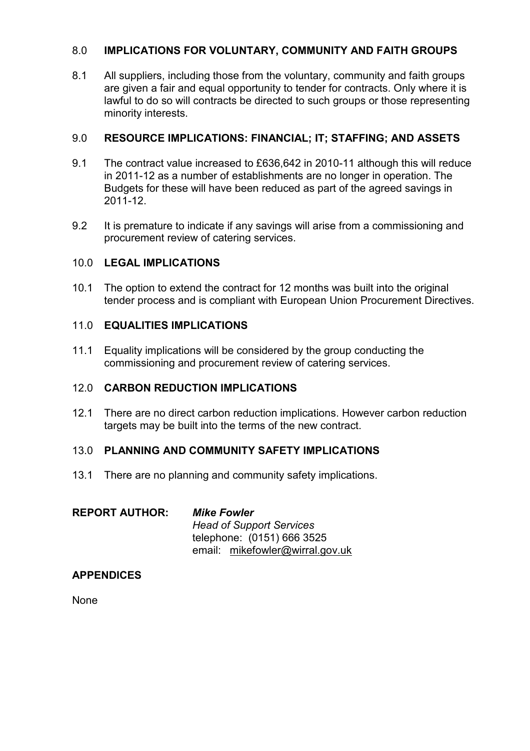## 8.0 **IMPLICATIONS FOR VOLUNTARY, COMMUNITY AND FAITH GROUPS**

8.1 All suppliers, including those from the voluntary, community and faith groups are given a fair and equal opportunity to tender for contracts. Only where it is lawful to do so will contracts be directed to such groups or those representing minority interests.

## 9.0 **RESOURCE IMPLICATIONS: FINANCIAL; IT; STAFFING; AND ASSETS**

- 9.1 The contract value increased to £636,642 in 2010-11 although this will reduce in 2011-12 as a number of establishments are no longer in operation. The Budgets for these will have been reduced as part of the agreed savings in 2011-12.
- 9.2 It is premature to indicate if any savings will arise from a commissioning and procurement review of catering services.

## 10.0 **LEGAL IMPLICATIONS**

10.1 The option to extend the contract for 12 months was built into the original tender process and is compliant with European Union Procurement Directives.

## 11.0 **EQUALITIES IMPLICATIONS**

11.1 Equality implications will be considered by the group conducting the commissioning and procurement review of catering services.

### 12.0 **CARBON REDUCTION IMPLICATIONS**

12.1 There are no direct carbon reduction implications. However carbon reduction targets may be built into the terms of the new contract.

#### 13.0 **PLANNING AND COMMUNITY SAFETY IMPLICATIONS**

13.1 There are no planning and community safety implications.

| <b>REPORT AUTHOR:</b> | <b>Mike Fowler</b>              |
|-----------------------|---------------------------------|
|                       | <b>Head of Support Services</b> |
|                       | telephone: (0151) 666 3525      |
|                       | email: mikefowler@wirral.gov.uk |

#### **APPENDICES**

None